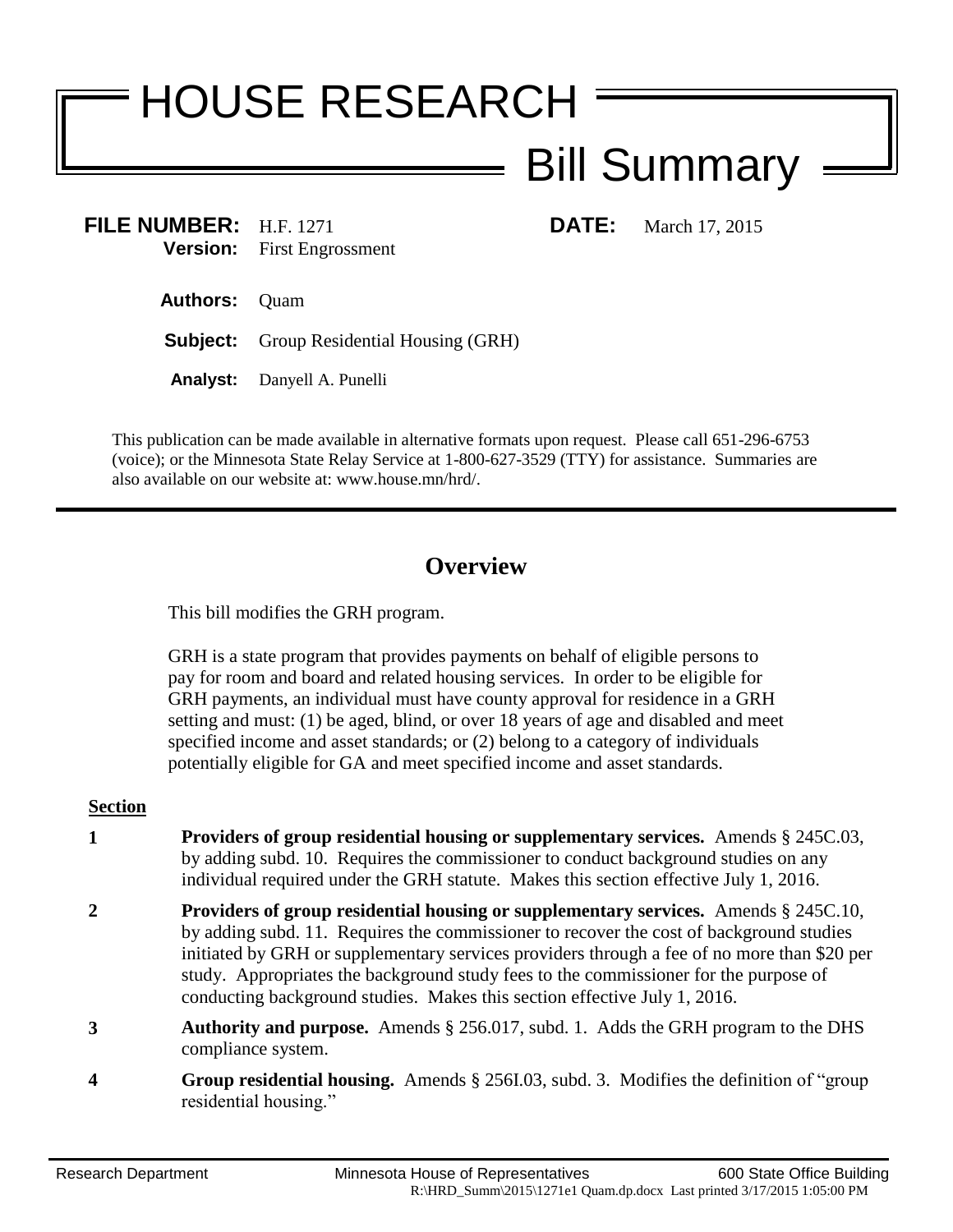# HOUSE RESEARCH Bill Summary

**FILE NUMBER:** H.F. 1271 **DATE:** March 17, 2015 **Version:** First Engrossment

**Authors:** Quam

**Subject:** Group Residential Housing (GRH)

**Analyst:** Danyell A. Punelli

This publication can be made available in alternative formats upon request. Please call 651-296-6753 (voice); or the Minnesota State Relay Service at 1-800-627-3529 (TTY) for assistance. Summaries are also available on our website at: www.house.mn/hrd/.

## **Overview**

This bill modifies the GRH program.

GRH is a state program that provides payments on behalf of eligible persons to pay for room and board and related housing services. In order to be eligible for GRH payments, an individual must have county approval for residence in a GRH setting and must: (1) be aged, blind, or over 18 years of age and disabled and meet specified income and asset standards; or (2) belong to a category of individuals potentially eligible for GA and meet specified income and asset standards.

### **Section**

- **1 Providers of group residential housing or supplementary services.** Amends § 245C.03, by adding subd. 10. Requires the commissioner to conduct background studies on any individual required under the GRH statute. Makes this section effective July 1, 2016.
- **2 Providers of group residential housing or supplementary services.** Amends § 245C.10, by adding subd. 11. Requires the commissioner to recover the cost of background studies initiated by GRH or supplementary services providers through a fee of no more than \$20 per study. Appropriates the background study fees to the commissioner for the purpose of conducting background studies. Makes this section effective July 1, 2016.
- **3 Authority and purpose.** Amends § 256.017, subd. 1. Adds the GRH program to the DHS compliance system.
- **4 Group residential housing.** Amends § 256I.03, subd. 3. Modifies the definition of "group residential housing."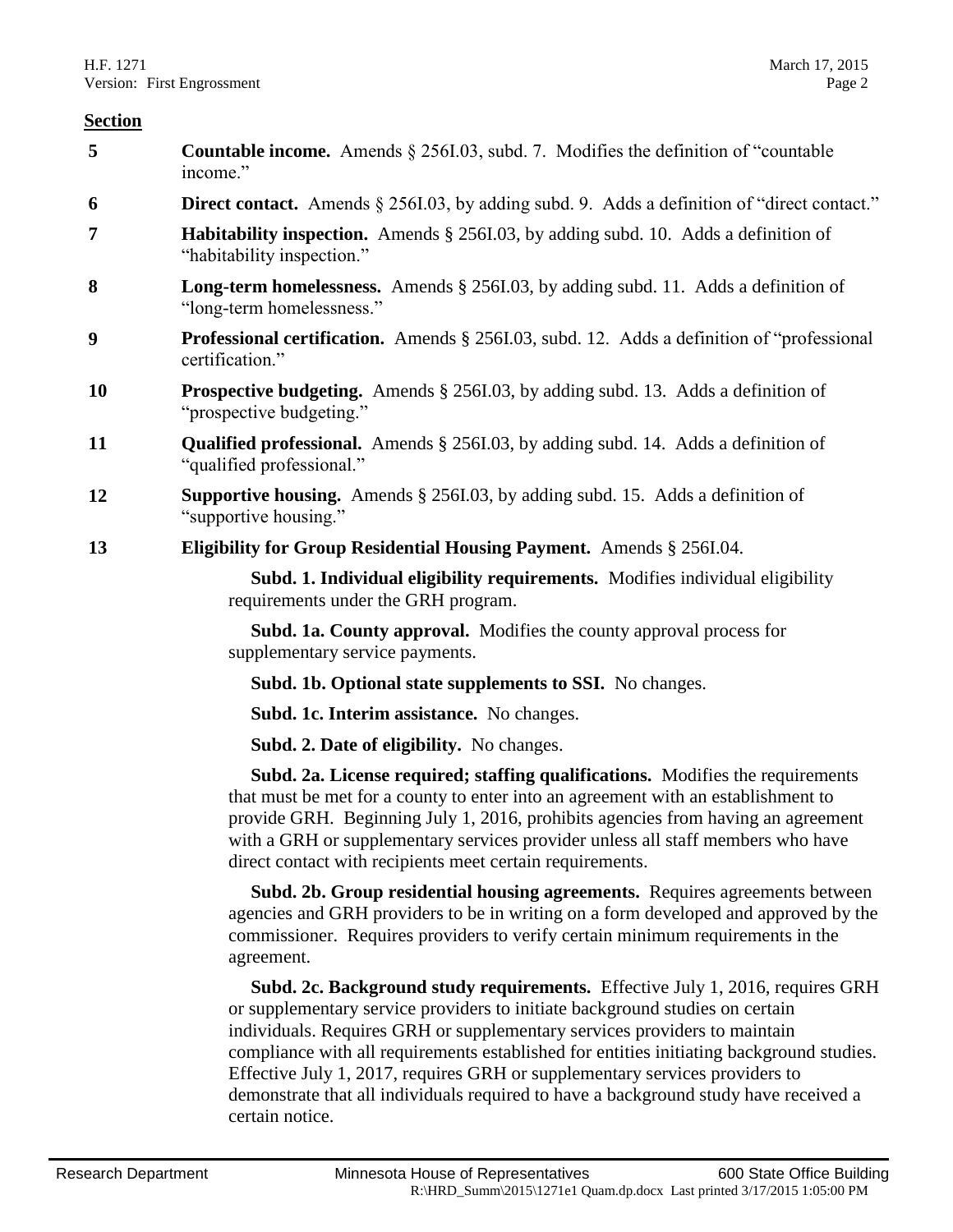#### **Section**

| 5         | <b>Countable income.</b> Amends $\S$ 256I.03, subd. 7. Modifies the definition of "countable"<br>income."                                                                                                                                                                                                                                                                                               |
|-----------|---------------------------------------------------------------------------------------------------------------------------------------------------------------------------------------------------------------------------------------------------------------------------------------------------------------------------------------------------------------------------------------------------------|
| 6         | <b>Direct contact.</b> Amends § 256I.03, by adding subd. 9. Adds a definition of "direct contact."                                                                                                                                                                                                                                                                                                      |
| 7         | <b>Habitability inspection.</b> Amends § 256I.03, by adding subd. 10. Adds a definition of<br>"habitability inspection."                                                                                                                                                                                                                                                                                |
| 8         | <b>Long-term homelessness.</b> Amends § 2561.03, by adding subd. 11. Adds a definition of<br>"long-term homelessness."                                                                                                                                                                                                                                                                                  |
| 9         | <b>Professional certification.</b> Amends § 256I.03, subd. 12. Adds a definition of "professional"<br>certification."                                                                                                                                                                                                                                                                                   |
| <b>10</b> | <b>Prospective budgeting.</b> Amends § 256I.03, by adding subd. 13. Adds a definition of<br>"prospective budgeting."                                                                                                                                                                                                                                                                                    |
| 11        | <b>Qualified professional.</b> Amends § 256I.03, by adding subd. 14. Adds a definition of<br>"qualified professional."                                                                                                                                                                                                                                                                                  |
| 12        | <b>Supportive housing.</b> Amends $\S$ 256I.03, by adding subd. 15. Adds a definition of<br>"supportive housing."                                                                                                                                                                                                                                                                                       |
| 13        | Eligibility for Group Residential Housing Payment. Amends § 256I.04.                                                                                                                                                                                                                                                                                                                                    |
|           | Subd. 1. Individual eligibility requirements. Modifies individual eligibility<br>requirements under the GRH program.                                                                                                                                                                                                                                                                                    |
|           | Subd. 1a. County approval. Modifies the county approval process for<br>supplementary service payments.                                                                                                                                                                                                                                                                                                  |
|           | Subd. 1b. Optional state supplements to SSI. No changes.                                                                                                                                                                                                                                                                                                                                                |
|           | Subd. 1c. Interim assistance. No changes.                                                                                                                                                                                                                                                                                                                                                               |
|           | <b>Subd. 2. Date of eligibility.</b> No changes.                                                                                                                                                                                                                                                                                                                                                        |
|           | Subd. 2a. License required; staffing qualifications. Modifies the requirements<br>that must be met for a county to enter into an agreement with an establishment to<br>provide GRH. Beginning July 1, 2016, prohibits agencies from having an agreement<br>with a GRH or supplementary services provider unless all staff members who have<br>direct contact with recipients meet certain requirements. |
|           | Subd. 2b. Group residential housing agreements. Requires agreements between<br>agencies and GRH providers to be in writing on a form developed and approved by the<br>commissioner. Requires providers to verify certain minimum requirements in the<br>agreement.                                                                                                                                      |
|           | Subd. 2c. Background study requirements. Effective July 1, 2016, requires GRH<br>or supplementary service providers to initiate background studies on certain<br>individuals. Requires GRH or supplementary services providers to maintain<br>compliance with all requirements established for entities initiating background studies.                                                                  |

Effective July 1, 2017, requires GRH or supplementary services providers to demonstrate that all individuals required to have a background study have received a certain notice.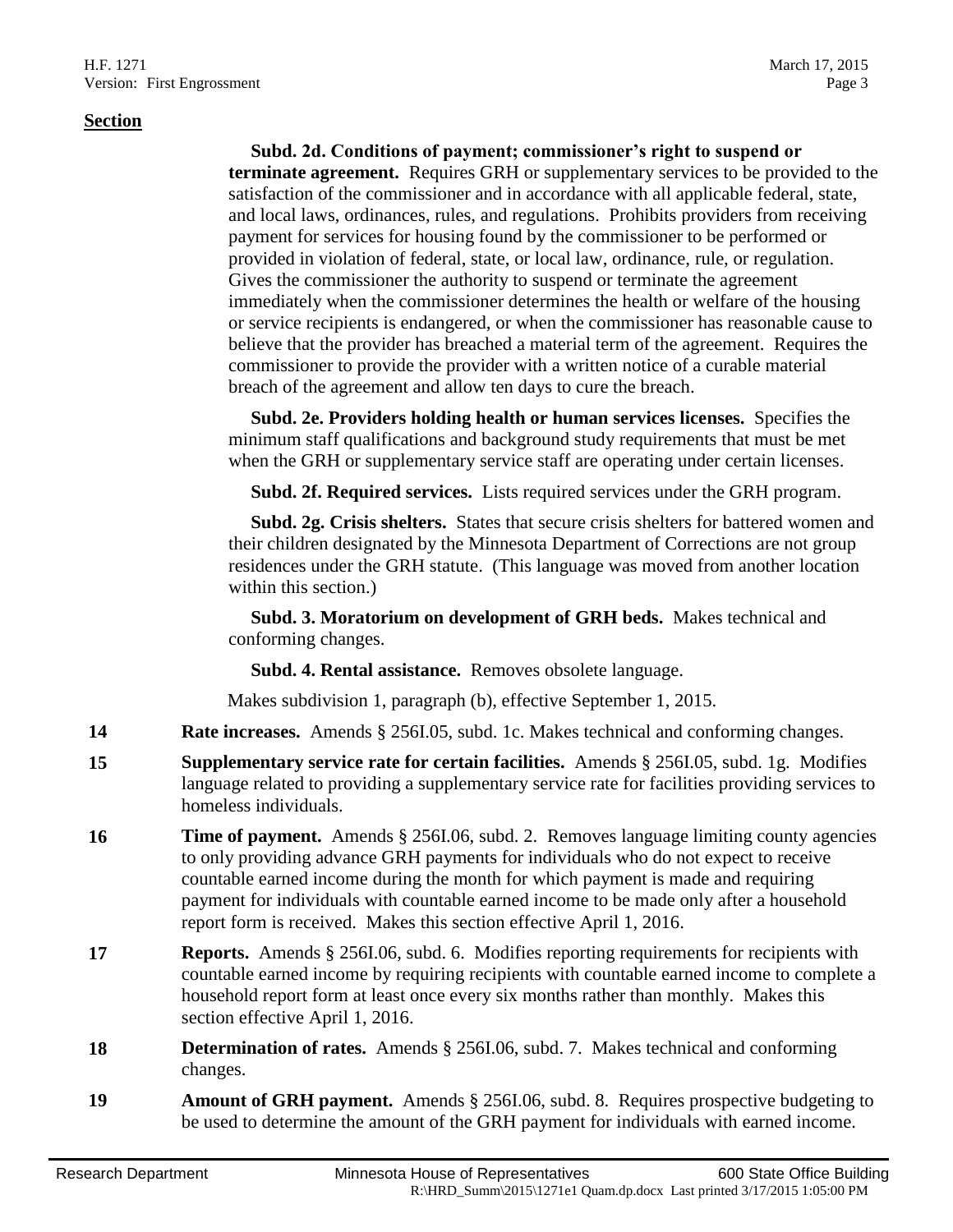#### **Section**

#### **Subd. 2d. Conditions of payment; commissioner's right to suspend or**

**terminate agreement.** Requires GRH or supplementary services to be provided to the satisfaction of the commissioner and in accordance with all applicable federal, state, and local laws, ordinances, rules, and regulations. Prohibits providers from receiving payment for services for housing found by the commissioner to be performed or provided in violation of federal, state, or local law, ordinance, rule, or regulation. Gives the commissioner the authority to suspend or terminate the agreement immediately when the commissioner determines the health or welfare of the housing or service recipients is endangered, or when the commissioner has reasonable cause to believe that the provider has breached a material term of the agreement. Requires the commissioner to provide the provider with a written notice of a curable material breach of the agreement and allow ten days to cure the breach.

 **Subd. 2e. Providers holding health or human services licenses.** Specifies the minimum staff qualifications and background study requirements that must be met when the GRH or supplementary service staff are operating under certain licenses.

**Subd. 2f. Required services.** Lists required services under the GRH program.

 **Subd. 2g. Crisis shelters.** States that secure crisis shelters for battered women and their children designated by the Minnesota Department of Corrections are not group residences under the GRH statute. (This language was moved from another location within this section.)

 **Subd. 3. Moratorium on development of GRH beds.** Makes technical and conforming changes.

**Subd. 4. Rental assistance.** Removes obsolete language.

Makes subdivision 1, paragraph (b), effective September 1, 2015.

- **14 Rate increases.** Amends § 256I.05, subd. 1c. Makes technical and conforming changes.
- **15 Supplementary service rate for certain facilities.** Amends § 256I.05, subd. 1g. Modifies language related to providing a supplementary service rate for facilities providing services to homeless individuals.
- **16 Time of payment.** Amends § 256I.06, subd. 2. Removes language limiting county agencies to only providing advance GRH payments for individuals who do not expect to receive countable earned income during the month for which payment is made and requiring payment for individuals with countable earned income to be made only after a household report form is received. Makes this section effective April 1, 2016.
- **17 Reports.** Amends § 256I.06, subd. 6. Modifies reporting requirements for recipients with countable earned income by requiring recipients with countable earned income to complete a household report form at least once every six months rather than monthly. Makes this section effective April 1, 2016.
- **18 Determination of rates.** Amends § 256I.06, subd. 7. Makes technical and conforming changes.
- **19 Amount of GRH payment.** Amends § 256I.06, subd. 8. Requires prospective budgeting to be used to determine the amount of the GRH payment for individuals with earned income.